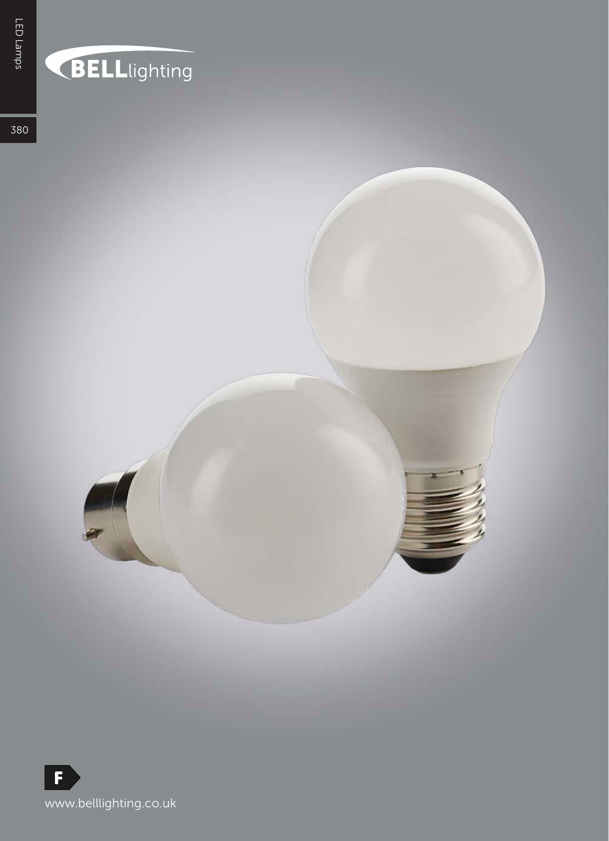## BELLlighting

380

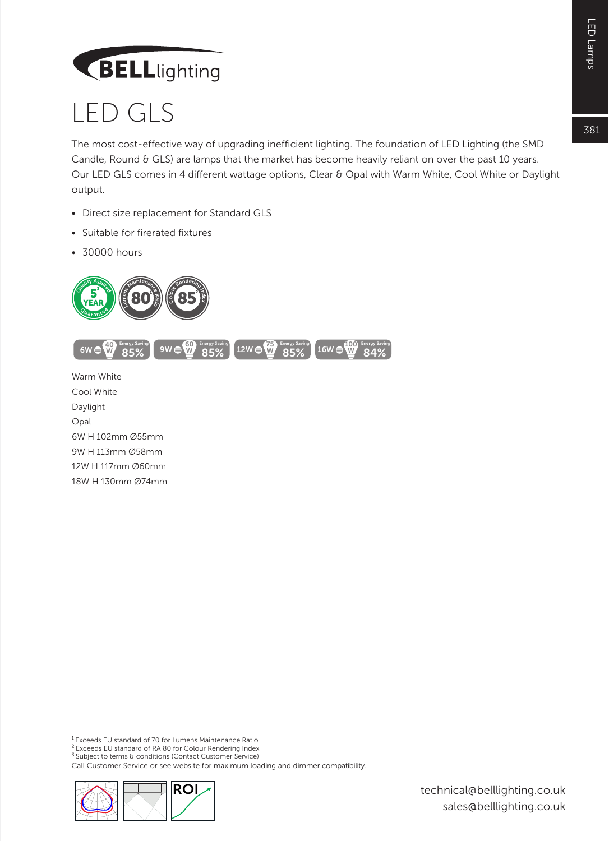## **BELL**lighting

#### LED GLS

The most cost-effective way of upgrading inefficient lighting. The foundation of LED Lighting (the SMD Candle, Round & GLS) are lamps that the market has become heavily reliant on over the past 10 years. Our LED GLS comes in 4 different wattage options, Clear & Opal with Warm White, Cool White or Daylight output.

- Direct size replacement for Standard GLS
- Suitable for firerated fixtures
- 30000 hours



Daylight Opal 6W H 102mm Ø55mm 9W H 113mm Ø58mm 12W H 117mm Ø60mm 18W H 130mm Ø74mm

1 Exceeds EU standard of 70 for Lumens Maintenance Ratio

2 Exceeds EU standard of RA 80 for Colour Rendering Index 3 Subject to terms & conditions (Contact Customer Service)

Call Customer Service or see website for maximum loading and dimmer compatibility.



381

technical@belllighting.co.uk sales@belllighting.co.uk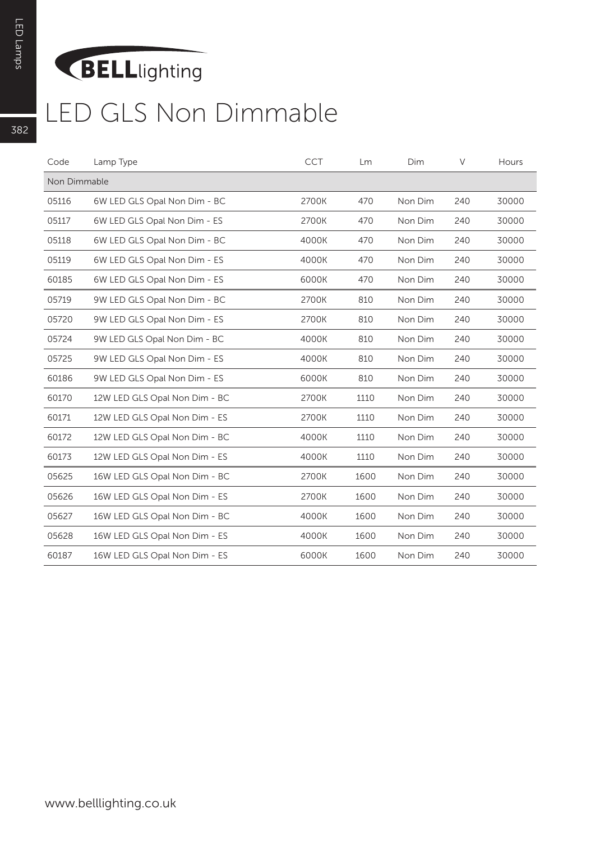#### BELLlighting

#### LED GLS Non Dimmable

| Code         | Lamp Type                     | <b>CCT</b> | Lm   | Dim     | V   | Hours |  |  |  |  |  |
|--------------|-------------------------------|------------|------|---------|-----|-------|--|--|--|--|--|
| Non Dimmable |                               |            |      |         |     |       |  |  |  |  |  |
| 05116        | 6W LED GLS Opal Non Dim - BC  | 2700K      | 470  | Non Dim | 240 | 30000 |  |  |  |  |  |
| 05117        | 6W LED GLS Opal Non Dim - ES  | 2700K      | 470  | Non Dim | 240 | 30000 |  |  |  |  |  |
| 05118        | 6W LED GLS Opal Non Dim - BC  | 4000K      | 470  | Non Dim | 240 | 30000 |  |  |  |  |  |
| 05119        | 6W LED GLS Opal Non Dim - ES  | 4000K      | 470  | Non Dim | 240 | 30000 |  |  |  |  |  |
| 60185        | 6W LED GLS Opal Non Dim - ES  | 6000K      | 470  | Non Dim | 240 | 30000 |  |  |  |  |  |
| 05719        | 9W LED GLS Opal Non Dim - BC  | 2700K      | 810  | Non Dim | 240 | 30000 |  |  |  |  |  |
| 05720        | 9W LED GLS Opal Non Dim - ES  | 2700K      | 810  | Non Dim | 240 | 30000 |  |  |  |  |  |
| 05724        | 9W LED GLS Opal Non Dim - BC  | 4000K      | 810  | Non Dim | 240 | 30000 |  |  |  |  |  |
| 05725        | 9W LED GLS Opal Non Dim - ES  | 4000K      | 810  | Non Dim | 240 | 30000 |  |  |  |  |  |
| 60186        | 9W LED GLS Opal Non Dim - ES  | 6000K      | 810  | Non Dim | 240 | 30000 |  |  |  |  |  |
| 60170        | 12W LED GLS Opal Non Dim - BC | 2700K      | 1110 | Non Dim | 240 | 30000 |  |  |  |  |  |
| 60171        | 12W LED GLS Opal Non Dim - ES | 2700K      | 1110 | Non Dim | 240 | 30000 |  |  |  |  |  |
| 60172        | 12W LED GLS Opal Non Dim - BC | 4000K      | 1110 | Non Dim | 240 | 30000 |  |  |  |  |  |
| 60173        | 12W LED GLS Opal Non Dim - ES | 4000K      | 1110 | Non Dim | 240 | 30000 |  |  |  |  |  |
| 05625        | 16W LED GLS Opal Non Dim - BC | 2700K      | 1600 | Non Dim | 240 | 30000 |  |  |  |  |  |
| 05626        | 16W LED GLS Opal Non Dim - ES | 2700K      | 1600 | Non Dim | 240 | 30000 |  |  |  |  |  |
| 05627        | 16W LED GLS Opal Non Dim - BC | 4000K      | 1600 | Non Dim | 240 | 30000 |  |  |  |  |  |
| 05628        | 16W LED GLS Opal Non Dim - ES | 4000K      | 1600 | Non Dim | 240 | 30000 |  |  |  |  |  |
| 60187        | 16W LED GLS Opal Non Dim - ES | 6000K      | 1600 | Non Dim | 240 | 30000 |  |  |  |  |  |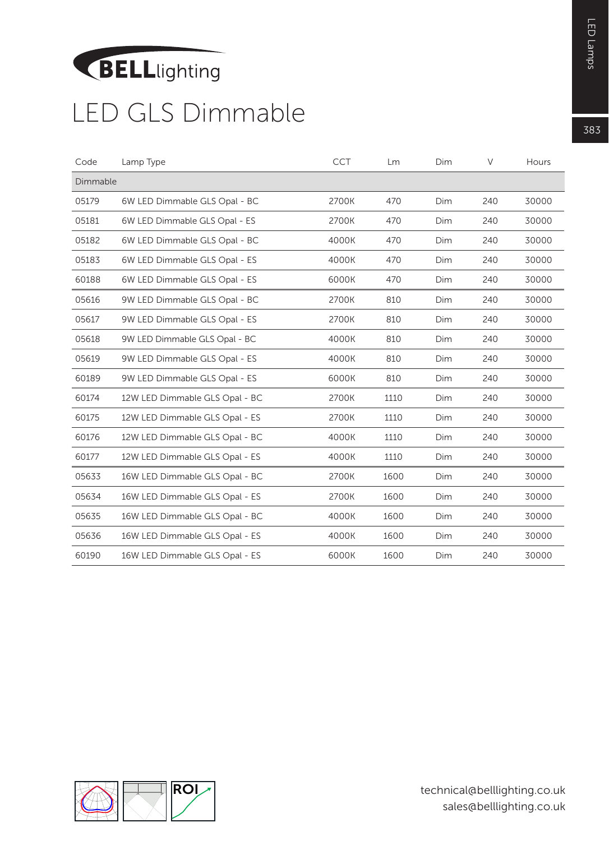# BELLlighting LED GLS Dimmable

| Code     | Lamp Type                      | <b>CCT</b> | Lm   | Dim | V   | Hours |  |  |  |  |
|----------|--------------------------------|------------|------|-----|-----|-------|--|--|--|--|
| Dimmable |                                |            |      |     |     |       |  |  |  |  |
| 05179    | 6W LED Dimmable GLS Opal - BC  | 2700K      | 470  | Dim | 240 | 30000 |  |  |  |  |
| 05181    | 6W LED Dimmable GLS Opal - ES  | 2700K      | 470  | Dim | 240 | 30000 |  |  |  |  |
| 05182    | 6W LED Dimmable GLS Opal - BC  | 4000K      | 470  | Dim | 240 | 30000 |  |  |  |  |
| 05183    | 6W LED Dimmable GLS Opal - ES  | 4000K      | 470  | Dim | 240 | 30000 |  |  |  |  |
| 60188    | 6W LED Dimmable GLS Opal - ES  | 6000K      | 470  | Dim | 240 | 30000 |  |  |  |  |
| 05616    | 9W LED Dimmable GLS Opal - BC  | 2700K      | 810  | Dim | 240 | 30000 |  |  |  |  |
| 05617    | 9W LED Dimmable GLS Opal - ES  | 2700K      | 810  | Dim | 240 | 30000 |  |  |  |  |
| 05618    | 9W LED Dimmable GLS Opal - BC  | 4000K      | 810  | Dim | 240 | 30000 |  |  |  |  |
| 05619    | 9W LED Dimmable GLS Opal - ES  | 4000K      | 810  | Dim | 240 | 30000 |  |  |  |  |
| 60189    | 9W LED Dimmable GLS Opal - ES  | 6000K      | 810  | Dim | 240 | 30000 |  |  |  |  |
| 60174    | 12W LED Dimmable GLS Opal - BC | 2700K      | 1110 | Dim | 240 | 30000 |  |  |  |  |
| 60175    | 12W LED Dimmable GLS Opal - ES | 2700K      | 1110 | Dim | 240 | 30000 |  |  |  |  |
| 60176    | 12W LED Dimmable GLS Opal - BC | 4000K      | 1110 | Dim | 240 | 30000 |  |  |  |  |
| 60177    | 12W LED Dimmable GLS Opal - ES | 4000K      | 1110 | Dim | 240 | 30000 |  |  |  |  |
| 05633    | 16W LED Dimmable GLS Opal - BC | 2700K      | 1600 | Dim | 240 | 30000 |  |  |  |  |
| 05634    | 16W LED Dimmable GLS Opal - ES | 2700K      | 1600 | Dim | 240 | 30000 |  |  |  |  |
| 05635    | 16W LED Dimmable GLS Opal - BC | 4000K      | 1600 | Dim | 240 | 30000 |  |  |  |  |
| 05636    | 16W LED Dimmable GLS Opal - ES | 4000K      | 1600 | Dim | 240 | 30000 |  |  |  |  |
| 60190    | 16W LED Dimmable GLS Opal - ES | 6000K      | 1600 | Dim | 240 | 30000 |  |  |  |  |

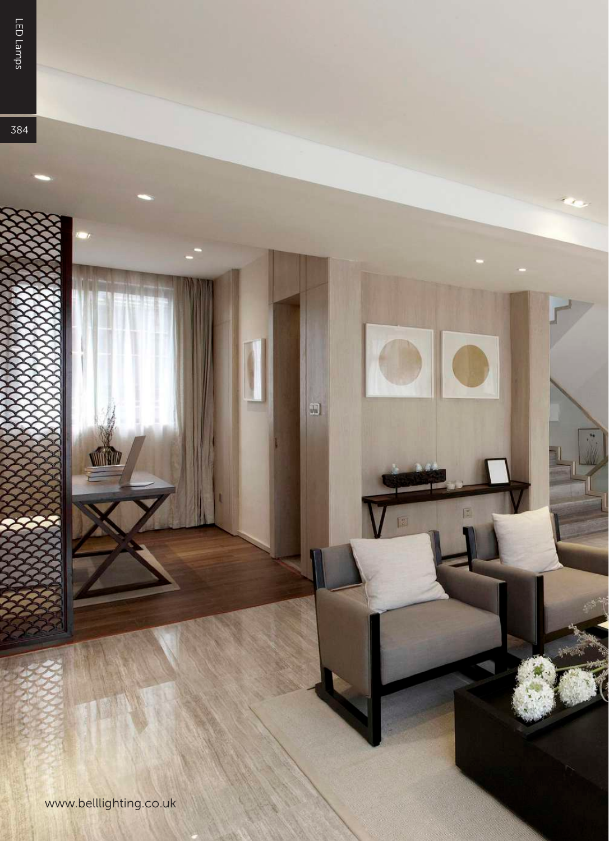